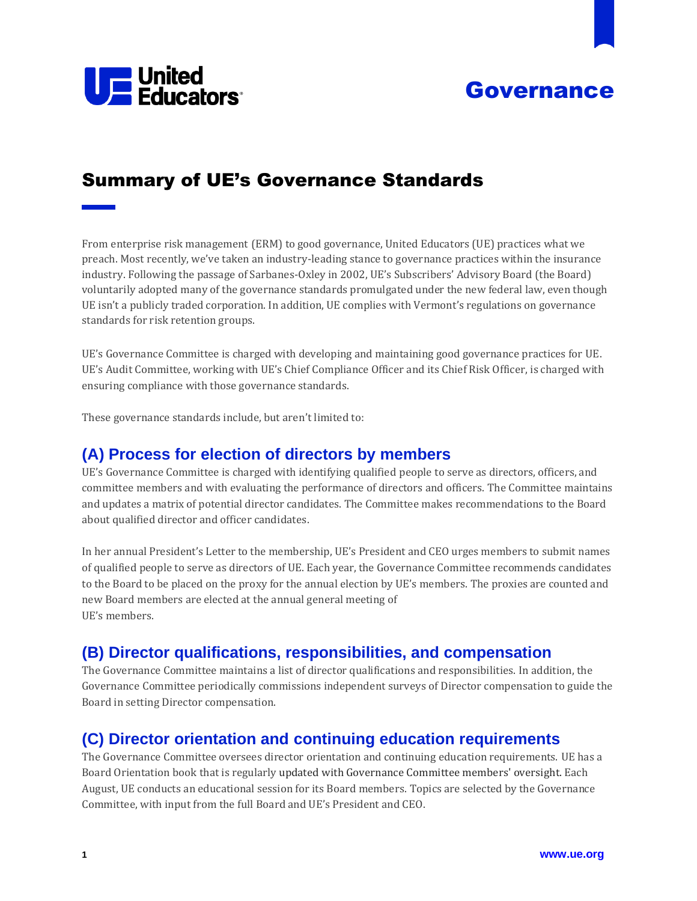



# Summary of UE's Governance Standards

From enterprise risk management (ERM) to good governance, United Educators (UE) practices what we preach. Most recently, we've taken an industry-leading stance to governance practices within the insurance industry. Following the passage of Sarbanes-Oxley in 2002, UE's Subscribers' Advisory Board (the Board) voluntarily adopted many of the governance standards promulgated under the new federal law, even though UE isn't a publicly traded corporation. In addition, UE complies with Vermont's regulations on governance standards for risk retention groups.

UE's Governance Committee is charged with developing and maintaining good governance practices for UE. UE's Audit Committee, working with UE's Chief Compliance Officer and its Chief Risk Officer, is charged with ensuring compliance with those governance standards.

These governance standards include, but aren't limited to:

# **(A) Process for election of directors by members**

UE's Governance Committee is charged with identifying qualified people to serve as directors, officers, and committee members and with evaluating the performance of directors and officers. The Committee maintains and updates a matrix of potential director candidates. The Committee makes recommendations to the Board about qualified director and officer candidates.

In her annual President's Letter to the membership, UE's President and CEO urges members to submit names of qualified people to serve as directors of UE. Each year, the Governance Committee recommends candidates to the Board to be placed on the proxy for the annual election by UE's members. The proxies are counted and new Board members are elected at the annual general meeting of UE's members.

# **(B) Director qualifications, responsibilities, and compensation**

The Governance Committee maintains a list of director qualifications and responsibilities. In addition, the Governance Committee periodically commissions independent surveys of Director compensation to guide the Board in setting Director compensation.

#### **(C) Director orientation and continuing education requirements**

The Governance Committee oversees director orientation and continuing education requirements. UE has a Board Orientation book that is regularly updated with Governance Committee members' oversight. Each August, UE conducts an educational session for its Board members. Topics are selected by the Governance Committee, with input from the full Board and UE's President and CEO.